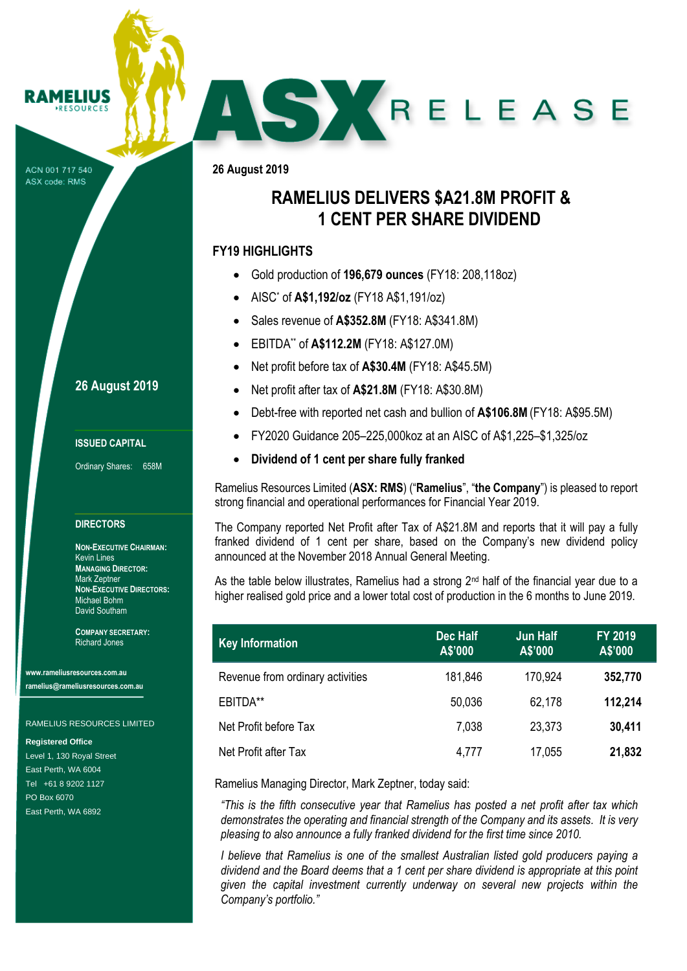#### **RAMELIUS RESOURCES**

ACN 001 717 540 ASX code: RMS

## **26 August 2019**

### **ISSUED CAPITAL**

Ordinary Shares: 658M

### **DIRECTORS**

**NON-EXECUTIVE CHAIRMAN:** Kevin Lines **MANAGING DIRECTOR:** Mark Zeptner **NON-EXECUTIVE DIRECTORS:** Michael Bohm David Southam

**COMPANY SECRETARY:** Richard Jones

**www.rameliusresources.com.au ramelius@rameliusresources.com.au**

### RAMELIUS RESOURCES LIMITED

**Registered Office**

Level 1, 130 Royal Street East Perth, WA 6004 Tel +61 8 9202 1127 PO Box 6070 East Perth, WA 6892

**26 August 2019**

# **RAMELIUS DELIVERS \$A21.8M PROFIT & 1 CENT PER SHARE DIVIDEND**

AS X RELEASE

## **FY19 HIGHLIGHTS**

- Gold production of **196,679 ounces** (FY18: 208,118oz)
- AISC\* of **A\$1,192/oz** (FY18 A\$1,191/oz)
- Sales revenue of **A\$352.8M** (FY18: A\$341.8M)
- EBITDA\*\* of **A\$112.2M** (FY18: A\$127.0M)
- Net profit before tax of **A\$30.4M** (FY18: A\$45.5M)
- Net profit after tax of **A\$21.8M** (FY18: A\$30.8M)
- Debt-free with reported net cash and bullion of **A\$106.8M**(FY18: A\$95.5M)
- FY2020 Guidance 205–225,000koz at an AISC of A\$1,225–\$1,325/oz
- **Dividend of 1 cent per share fully franked**

Ramelius Resources Limited (**ASX: RMS**) ("**Ramelius**", "**the Company**") is pleased to report strong financial and operational performances for Financial Year 2019.

The Company reported Net Profit after Tax of A\$21.8M and reports that it will pay a fully franked dividend of 1 cent per share, based on the Company's new dividend policy announced at the November 2018 Annual General Meeting.

As the table below illustrates, Ramelius had a strong  $2<sup>nd</sup>$  half of the financial year due to a higher realised gold price and a lower total cost of production in the 6 months to June 2019.

| <b>Key Information</b>           | <b>Dec Half</b><br>A\$'000 | <b>Jun Half</b><br>A\$'000 | <b>FY 2019</b><br>A\$'000 |
|----------------------------------|----------------------------|----------------------------|---------------------------|
| Revenue from ordinary activities | 181,846                    | 170,924                    | 352,770                   |
| EBITDA**                         | 50,036                     | 62,178                     | 112,214                   |
| Net Profit before Tax            | 7,038                      | 23,373                     | 30,411                    |
| Net Profit after Tax             | 4,777                      | 17,055                     | 21,832                    |

Ramelius Managing Director, Mark Zeptner, today said:

*"This is the fifth consecutive year that Ramelius has posted a net profit after tax which demonstrates the operating and financial strength of the Company and its assets. It is very pleasing to also announce a fully franked dividend for the first time since 2010.*

*I believe that Ramelius is one of the smallest Australian listed gold producers paying a dividend and the Board deems that a 1 cent per share dividend is appropriate at this point given the capital investment currently underway on several new projects within the Company's portfolio."*